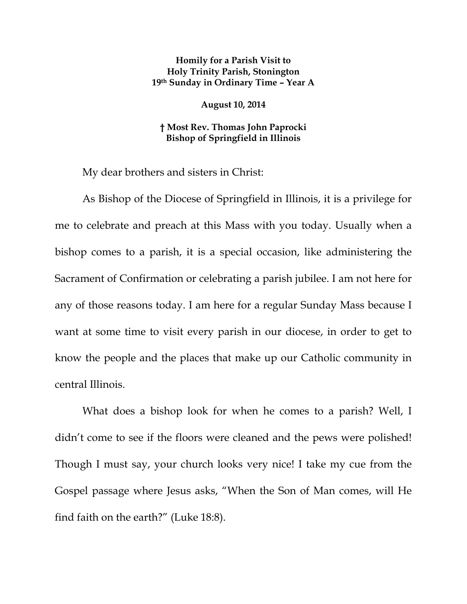## **Homily for a Parish Visit to Holy Trinity Parish, Stonington 19th Sunday in Ordinary Time – Year A**

## **August 10, 2014**

## **† Most Rev. Thomas John Paprocki Bishop of Springfield in Illinois**

My dear brothers and sisters in Christ:

As Bishop of the Diocese of Springfield in Illinois, it is a privilege for me to celebrate and preach at this Mass with you today. Usually when a bishop comes to a parish, it is a special occasion, like administering the Sacrament of Confirmation or celebrating a parish jubilee. I am not here for any of those reasons today. I am here for a regular Sunday Mass because I want at some time to visit every parish in our diocese, in order to get to know the people and the places that make up our Catholic community in central Illinois.

What does a bishop look for when he comes to a parish? Well, I didn't come to see if the floors were cleaned and the pews were polished! Though I must say, your church looks very nice! I take my cue from the Gospel passage where Jesus asks, "When the Son of Man comes, will He find faith on the earth?" (Luke 18:8).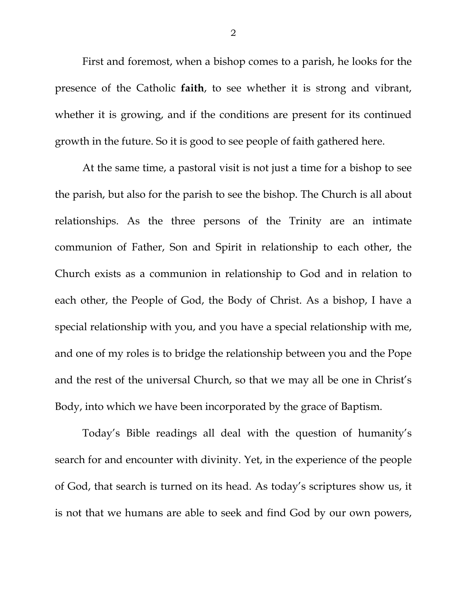First and foremost, when a bishop comes to a parish, he looks for the presence of the Catholic **faith**, to see whether it is strong and vibrant, whether it is growing, and if the conditions are present for its continued growth in the future. So it is good to see people of faith gathered here.

At the same time, a pastoral visit is not just a time for a bishop to see the parish, but also for the parish to see the bishop. The Church is all about relationships. As the three persons of the Trinity are an intimate communion of Father, Son and Spirit in relationship to each other, the Church exists as a communion in relationship to God and in relation to each other, the People of God, the Body of Christ. As a bishop, I have a special relationship with you, and you have a special relationship with me, and one of my roles is to bridge the relationship between you and the Pope and the rest of the universal Church, so that we may all be one in Christ's Body, into which we have been incorporated by the grace of Baptism.

Today's Bible readings all deal with the question of humanity's search for and encounter with divinity. Yet, in the experience of the people of God, that search is turned on its head. As today's scriptures show us, it is not that we humans are able to seek and find God by our own powers,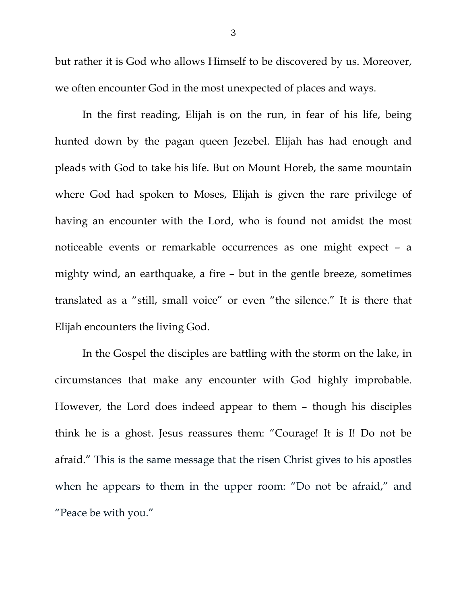but rather it is God who allows Himself to be discovered by us. Moreover, we often encounter God in the most unexpected of places and ways.

In the first reading, Elijah is on the run, in fear of his life, being hunted down by the pagan queen Jezebel. Elijah has had enough and pleads with God to take his life. But on Mount Horeb, the same mountain where God had spoken to Moses, Elijah is given the rare privilege of having an encounter with the Lord, who is found not amidst the most noticeable events or remarkable occurrences as one might expect – a mighty wind, an earthquake, a fire – but in the gentle breeze, sometimes translated as a "still, small voice" or even "the silence." It is there that Elijah encounters the living God.

In the Gospel the disciples are battling with the storm on the lake, in circumstances that make any encounter with God highly improbable. However, the Lord does indeed appear to them – though his disciples think he is a ghost. Jesus reassures them: "Courage! It is I! Do not be afraid." This is the same message that the risen Christ gives to his apostles when he appears to them in the upper room: "Do not be afraid," and "Peace be with you."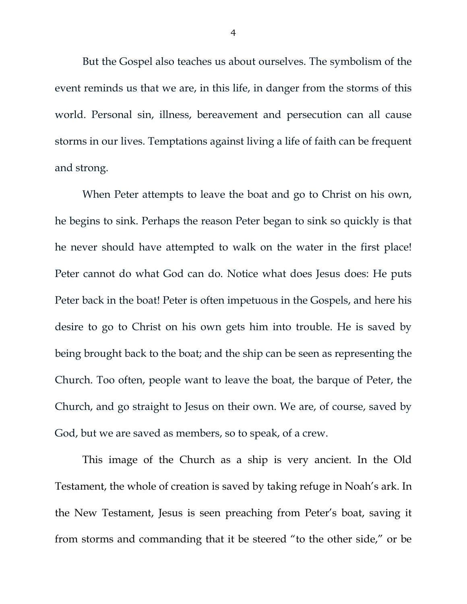But the Gospel also teaches us about ourselves. The symbolism of the event reminds us that we are, in this life, in danger from the storms of this world. Personal sin, illness, bereavement and persecution can all cause storms in our lives. Temptations against living a life of faith can be frequent and strong.

When Peter attempts to leave the boat and go to Christ on his own, he begins to sink. Perhaps the reason Peter began to sink so quickly is that he never should have attempted to walk on the water in the first place! Peter cannot do what God can do. Notice what does Jesus does: He puts Peter back in the boat! Peter is often impetuous in the Gospels, and here his desire to go to Christ on his own gets him into trouble. He is saved by being brought back to the boat; and the ship can be seen as representing the Church. Too often, people want to leave the boat, the barque of Peter, the Church, and go straight to Jesus on their own. We are, of course, saved by God, but we are saved as members, so to speak, of a crew.

This image of the Church as a ship is very ancient. In the Old Testament, the whole of creation is saved by taking refuge in Noah's ark. In the New Testament, Jesus is seen preaching from Peter's boat, saving it from storms and commanding that it be steered "to the other side," or be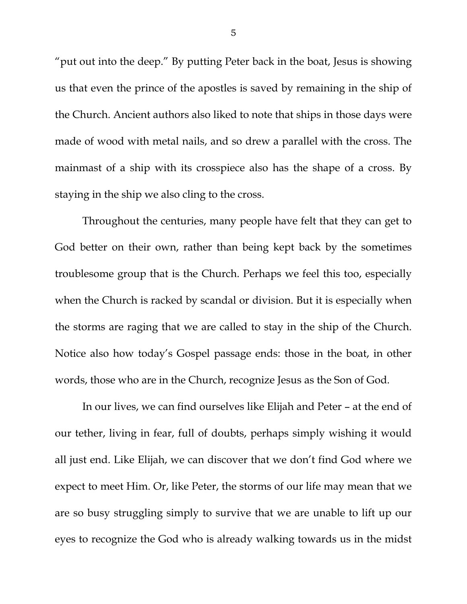"put out into the deep." By putting Peter back in the boat, Jesus is showing us that even the prince of the apostles is saved by remaining in the ship of the Church. Ancient authors also liked to note that ships in those days were made of wood with metal nails, and so drew a parallel with the cross. The mainmast of a ship with its crosspiece also has the shape of a cross. By staying in the ship we also cling to the cross.

Throughout the centuries, many people have felt that they can get to God better on their own, rather than being kept back by the sometimes troublesome group that is the Church. Perhaps we feel this too, especially when the Church is racked by scandal or division. But it is especially when the storms are raging that we are called to stay in the ship of the Church. Notice also how today's Gospel passage ends: those in the boat, in other words, those who are in the Church, recognize Jesus as the Son of God.

In our lives, we can find ourselves like Elijah and Peter – at the end of our tether, living in fear, full of doubts, perhaps simply wishing it would all just end. Like Elijah, we can discover that we don't find God where we expect to meet Him. Or, like Peter, the storms of our life may mean that we are so busy struggling simply to survive that we are unable to lift up our eyes to recognize the God who is already walking towards us in the midst